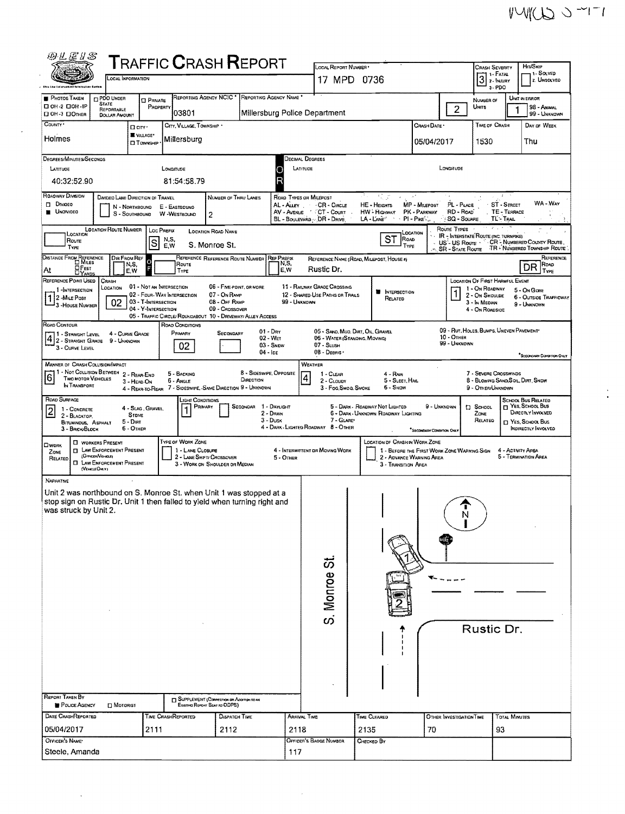$\frac{1}{2}$ 

| 物开层儿忍                                                                                                                                                                 |                                                                                                                                  |                                                                        |                                  | ${\sf T}$ RAFFIC ${\sf C}$ RASH ${\sf R}$ EPORT                                                                                           |                                                 |                                                  | LOCAL REPORT NUMBER                                            |                                                                                                               |                                                 |                                        | Crash Severity                                                                  |                             | Hit/Skip                                                      |  |
|-----------------------------------------------------------------------------------------------------------------------------------------------------------------------|----------------------------------------------------------------------------------------------------------------------------------|------------------------------------------------------------------------|----------------------------------|-------------------------------------------------------------------------------------------------------------------------------------------|-------------------------------------------------|--------------------------------------------------|----------------------------------------------------------------|---------------------------------------------------------------------------------------------------------------|-------------------------------------------------|----------------------------------------|---------------------------------------------------------------------------------|-----------------------------|---------------------------------------------------------------|--|
|                                                                                                                                                                       | LOCAL INFORMATION                                                                                                                |                                                                        |                                  |                                                                                                                                           |                                                 |                                                  | 17 MPD 0736                                                    |                                                                                                               |                                                 |                                        | 3                                                                               |                             | 11 SOLVED<br>2. UNSOLVED                                      |  |
| <b>P</b> hotos Taken                                                                                                                                                  | <b>Byster</b><br><b>PDO UNDER</b>                                                                                                |                                                                        |                                  |                                                                                                                                           | REPORTING AGENCY NCIC * REPORTING AGENCY NAME * |                                                  |                                                                |                                                                                                               |                                                 |                                        | 3-PDO                                                                           |                             | UNIT IN ERROR                                                 |  |
| D OH-2 DOH-IP<br>П ОН-3 ПОТНЕВ                                                                                                                                        | <b>STATE</b><br>REPORTABLE<br><b>DOLLAR AMOUNT</b>                                                                               | <b>D</b> PRIVATE<br>PROPERTY                                           | 03801                            |                                                                                                                                           |                                                 |                                                  | Millersburg Police Department                                  |                                                                                                               |                                                 | $\overline{2}$                         | NUMBER OF<br>Units                                                              |                             | 98 - Animal<br>99 - UNKNOWN                                   |  |
| County .                                                                                                                                                              |                                                                                                                                  | D CITY '                                                               |                                  | CITY, VILLAGE, TOWNSHIP *                                                                                                                 |                                                 |                                                  |                                                                |                                                                                                               | CRASH DATE *                                    |                                        | TIME OF CRASH                                                                   |                             | DAY OF WEEK                                                   |  |
| Holmes                                                                                                                                                                |                                                                                                                                  | <b>UVILLAGE*</b><br><b>D</b> TOWNSHIP                                  | Millersburg                      |                                                                                                                                           |                                                 |                                                  |                                                                |                                                                                                               | 05/04/2017                                      |                                        | 1530                                                                            |                             | Thu                                                           |  |
| Degrees/Minutes/Seconos<br>LATITUDE                                                                                                                                   |                                                                                                                                  |                                                                        | LONGITUDE                        |                                                                                                                                           |                                                 | Decimal Degrees<br>LATITUDE                      |                                                                |                                                                                                               |                                                 | LONGITUDE                              |                                                                                 |                             |                                                               |  |
| 40:32:52.90                                                                                                                                                           |                                                                                                                                  |                                                                        | 81:54:58.79                      |                                                                                                                                           |                                                 | R                                                |                                                                |                                                                                                               |                                                 |                                        |                                                                                 |                             |                                                               |  |
| <b>ROADWAY DIVISION</b><br><b>DI DIVIDEO</b><br><b>UNOVIDED</b>                                                                                                       | DIVIDED LANE DIRECTION OF TRAVEL                                                                                                 | N - NORTHBOUND<br>S - SOUTHBOUND                                       | E - EASTBOUND<br>W-WESTBOUND     | NUMBER OF THRU LANES<br>2                                                                                                                 |                                                 | ROAD TYPES OR MILEPOST<br>AL-Aurr<br>AV - AVENUE | CR - CIRCLE<br>CT - Court<br>BL - Boulevard - DR - DRVE        | 로시 토코<br>$\mathbf{r}=\mathbf{r}+\mathbf{a}^T$<br>HE - HEIGHTS<br><b>HW-HIGHWAY</b><br>LA - L'ANE <sup>"</sup> | MP - MILEPOST<br>PK - PARKWAY<br>$PI - P_{IKE}$ | PL - PLACE<br>RD - ROAD<br>SQ - SQUARE | $\ddot{\epsilon}$<br>TL TRAIL                                                   | ST - STREET<br>TE - TERRACE | WA-War                                                        |  |
| <b>LOCATION</b><br>Route<br>TYPE                                                                                                                                      | <b>LOCATION ROUTE NUMBER</b>                                                                                                     | S                                                                      | Loc Prefix<br>N.S.<br>E,W        | LOCATION ROAD NAME<br>S. Monroe St.                                                                                                       |                                                 |                                                  |                                                                | ST<br>Road<br>TYPE                                                                                            | LOCATION                                        | Route Types<br>US'- US Route -         | <b>IR - INTERSTATE ROUTE (INC. TURNPIKE)</b>                                    |                             | CR - NUMBERED COUNTY ROUTE<br>TR - Nuмаелер Townsнip Route    |  |
| DISTANCE FROM REFERENCE<br>OFEET                                                                                                                                      | DIR FROM REF                                                                                                                     | N,S,<br>F                                                              | Route                            | REFERENCE REFERENCE ROUTE NUMBER                                                                                                          |                                                 | REF PREFIX<br>N,S,                               |                                                                | REFERENCE NAME (ROAD, MILEPOST, HOUSE #)                                                                      |                                                 | <b>SR - STATE ROUTE</b>                |                                                                                 |                             | REFERENCE<br>Road<br>DR                                       |  |
| l At<br><b>DYARDS</b><br>REFERENCE POINT USED                                                                                                                         | CRASH                                                                                                                            | E.W                                                                    | TYPE                             |                                                                                                                                           |                                                 | E, W                                             | Rustic Dr.                                                     |                                                                                                               |                                                 |                                        | LOCATION OF FIRST HARMFUL EVENT                                                 |                             | TYPE                                                          |  |
| 1-INTERSECTION<br>12 -MILE POST<br>3 - House Number                                                                                                                   | LOCATION<br>02                                                                                                                   | 01 - NOT AN INTERSECTION<br>03 - T-INTERSECTION<br>04 - Y-INTERSECTION | 02 - FOUR-WAY INTERSECTION       | 06 - FIVE-POINT, OR MORE<br>07 - On RAMP<br>08 - OFF RAMP<br>09 - CROSSOVER<br>05 - TRAFFIC CIRCLE/ROUNDABOUT 10 - DRIVEWAY/ ALLEY ACCESS |                                                 | 99 - UNKNOWN                                     | 11 - RAILWAY GRADE CROSSING<br>12 - SHARED-USE PATHS OR TRAILS | <b>II</b> INTERSECTION<br>RELATED                                                                             |                                                 |                                        | 1 - On ROADWAY<br>2 - ON SHOULDE<br>3 - In MEDIAN<br>4 - On ROADSIDE            |                             | 5 - On Gore<br>6 - OUTSIDE TRAFFICWAY<br>9 - UNKNOWN          |  |
| ROAD CONTOUR<br>11 - Straight Level<br>$4/2$ -Straight Grade 9 - Unknown<br>3 - CURVE LEVEL                                                                           |                                                                                                                                  | 4 - CURVE GRADE                                                        | ROAD CONDITIONS<br>PRIMARY<br>02 | SECONDARY                                                                                                                                 | $01 - \text{Dar}$<br>02 - WET                   | $03 -$ SNDW                                      | 06 - WATER (STANDING, MOVING)<br>07 - SLUSH                    | 05 - SAND, MUO, DIRT, OIL, GRAVEL                                                                             |                                                 | 10 - Отнек<br>99 - UNKNOWN             | 09 - RUT, HOLES, BUMPS, UNEVEN PAVEMENT*                                        |                             |                                                               |  |
|                                                                                                                                                                       | $08 - Desers$<br>$04 - 1c\epsilon$<br><sup>7</sup> SECONDARY COMMITON ONLY<br><b>MANNER OF CRASH COLLISION/IMPACT</b><br>WEATHER |                                                                        |                                  |                                                                                                                                           |                                                 |                                                  |                                                                |                                                                                                               |                                                 |                                        |                                                                                 |                             |                                                               |  |
| 1 - NOT COLLISION BETWEEN<br>6 <br><b>TWO MOTOR VEHICLES</b><br>IN TRANSPORT                                                                                          |                                                                                                                                  | 2 - REAR-END<br>3 - HEAD ON                                            | 5 - BACKING<br>6 - ANGLE         | 4 - REAR-TO-REAR 7 - SIDESWIPE, -SAME DIRECTION 9 - UNKNOWN                                                                               | <b>8 - SIGESWIPE, OPPOSITE</b><br>DIRECTION     |                                                  | $1 - C$ lear<br>2 - CLOUDY<br>3 - Fog.Smog.Smoke               | 4 - RAIN<br>5 - SLEET, HAIL<br>5 - Snow                                                                       |                                                 |                                        | 7 - SEVERE CROSSWINDS<br>8 - BLOWING SAND SOIL, DIRT, SNOW<br>9 - OTHER/UNKNOWN |                             |                                                               |  |
| ROAD SURFACE<br>1 - CONCRETE                                                                                                                                          |                                                                                                                                  | 4 - SLAG, GRAVEL.                                                      |                                  | Light Conditions<br>PRIMARY                                                                                                               | SECONDAR 1 - DAYLIGHT                           |                                                  |                                                                | 5 - DARK - ROADWAY NOT LIGHTED                                                                                | 9 - Unknown                                     |                                        | <b>[3 SCHOOL</b>                                                                |                             | <b>SCHOOL BUS RELATED</b><br>T YES SCHOOL BUS                 |  |
| $\mathbf{Z}$<br>2 - BLACKTOP,<br><b>BITUMINDUS, ASPHALT</b><br>3 - BRICK BLOCK                                                                                        |                                                                                                                                  | <b>STONE</b><br>5 - Dirt<br>6 - OTHER                                  |                                  |                                                                                                                                           |                                                 | 2 - DAWN<br>$3 - D$ usk                          | 7 - GLARE*<br>4 - DARK - LIGHTED ROADWAY 8 - OTHER             | 6 - DARK - UNKNOWN ROADWAY LIGHTING                                                                           | SECONDARY CONDITION ONLY                        |                                        | ZONE<br>RELATED                                                                 |                             | DIRECTLY INVOLVED<br>T YES, SCHOOL BUS<br>INDIRECTLY INVOLVED |  |
| <b>OWDRK</b><br>ZONE<br>RELATED<br>(VEHICLE OM.Y)                                                                                                                     | <b>CI WORKERS PRESENT</b><br><b>D</b> LAW ENFORCEMENT PRESENT<br>(OFFICER/VENCEE)<br><b>CI LAW ENFORCEMENT PRESENT</b>           |                                                                        | <b>TYPE OF WORK ZONE</b>         | 1 - LANE CLOSURE<br>2 - LANE SHIFT/ CROSSOVER<br>3 - WORK ON SHOULDER OR MEDIAN                                                           |                                                 | 5 - OTHER                                        | 4 - INTERMITTENT DR MOVING WORK                                | <b>LOCATION DF CRASH IN WORK ZONE</b><br>2 - ADVANCE WARNING AREA<br>3 - TRANSITION AREA                      | 1 - BEFORE THE FIRST WORK ZONE WARNING SIGN     |                                        |                                                                                 | 4 - ACTIVITY AREA           | 5 - TERMINATION AREA                                          |  |
| <b>NARRATIVE</b><br>Unit 2 was northbound on S. Monroe St. when Unit 1 was stopped at a<br>stop sign on Rustic Dr. Unit 1 then failed to yield when turning right and |                                                                                                                                  |                                                                        |                                  |                                                                                                                                           |                                                 |                                                  |                                                                |                                                                                                               |                                                 |                                        |                                                                                 |                             |                                                               |  |
| was struck by Unit 2.                                                                                                                                                 |                                                                                                                                  |                                                                        |                                  |                                                                                                                                           |                                                 |                                                  |                                                                |                                                                                                               |                                                 |                                        |                                                                                 |                             |                                                               |  |
|                                                                                                                                                                       |                                                                                                                                  |                                                                        |                                  |                                                                                                                                           |                                                 |                                                  |                                                                |                                                                                                               |                                                 |                                        |                                                                                 |                             |                                                               |  |
|                                                                                                                                                                       |                                                                                                                                  |                                                                        |                                  |                                                                                                                                           |                                                 |                                                  |                                                                |                                                                                                               |                                                 |                                        |                                                                                 |                             |                                                               |  |
|                                                                                                                                                                       |                                                                                                                                  |                                                                        |                                  |                                                                                                                                           |                                                 |                                                  |                                                                |                                                                                                               |                                                 |                                        |                                                                                 |                             |                                                               |  |
|                                                                                                                                                                       |                                                                                                                                  |                                                                        |                                  |                                                                                                                                           |                                                 |                                                  | S. Monroe St                                                   |                                                                                                               |                                                 |                                        |                                                                                 |                             |                                                               |  |
|                                                                                                                                                                       |                                                                                                                                  |                                                                        |                                  |                                                                                                                                           |                                                 |                                                  |                                                                |                                                                                                               |                                                 |                                        |                                                                                 |                             |                                                               |  |
|                                                                                                                                                                       |                                                                                                                                  |                                                                        |                                  |                                                                                                                                           |                                                 |                                                  |                                                                |                                                                                                               |                                                 |                                        | Rustic Dr.                                                                      |                             |                                                               |  |
|                                                                                                                                                                       |                                                                                                                                  |                                                                        |                                  |                                                                                                                                           |                                                 |                                                  |                                                                |                                                                                                               |                                                 |                                        |                                                                                 |                             |                                                               |  |
|                                                                                                                                                                       |                                                                                                                                  |                                                                        |                                  |                                                                                                                                           |                                                 |                                                  |                                                                |                                                                                                               |                                                 |                                        |                                                                                 |                             |                                                               |  |
| REPORT TAKEN BY                                                                                                                                                       |                                                                                                                                  |                                                                        |                                  |                                                                                                                                           |                                                 |                                                  |                                                                |                                                                                                               |                                                 |                                        |                                                                                 |                             |                                                               |  |
| <b>POLICE AGENCY</b>                                                                                                                                                  | $\square$ Motorist                                                                                                               |                                                                        |                                  | SUPPLEMENT (Connection on Acciman to AN<br>EXISTING REPORT SENT TO ODPS)                                                                  |                                                 |                                                  |                                                                |                                                                                                               |                                                 |                                        |                                                                                 |                             |                                                               |  |
| DATE CRASHREPORTED<br>05/04/2017                                                                                                                                      |                                                                                                                                  | 2111                                                                   | <b>TIME CRASHREPORTED</b>        | <b>Dispatch Time</b><br>2112                                                                                                              |                                                 | <b>ARRIVAL TIME</b><br>2118                      |                                                                | TIME CLEARED<br>2135                                                                                          | 70                                              | OTHER INVESTIGATION TIME               | 93                                                                              | TOTAL MINUTES               |                                                               |  |
| OFFICER'S NAME*                                                                                                                                                       |                                                                                                                                  |                                                                        |                                  |                                                                                                                                           |                                                 |                                                  | OFFICER'S BADGE NUMBER                                         | Снескер Ву                                                                                                    |                                                 |                                        |                                                                                 |                             |                                                               |  |
| Steele, Amanda                                                                                                                                                        |                                                                                                                                  |                                                                        |                                  |                                                                                                                                           |                                                 | 117                                              |                                                                |                                                                                                               |                                                 |                                        |                                                                                 |                             |                                                               |  |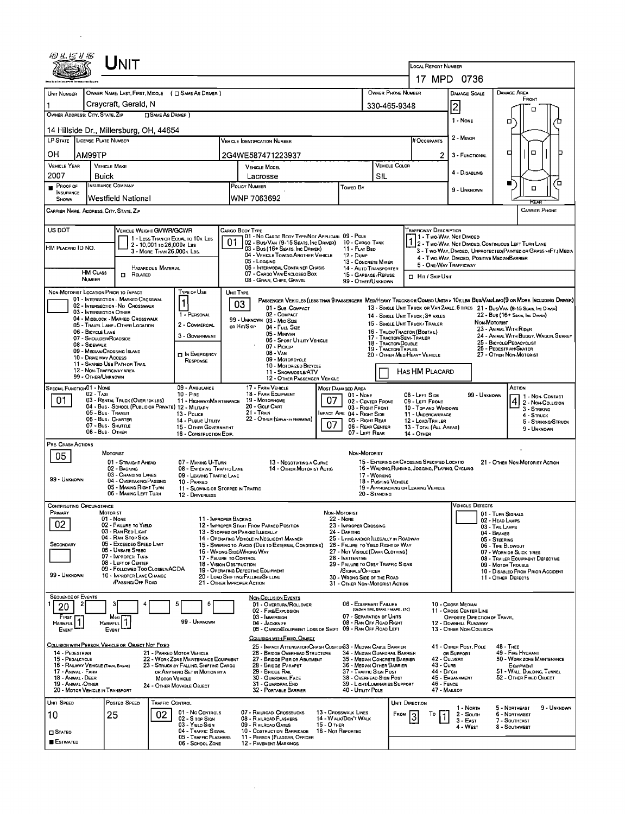|                                                            | ${\color{red} \bigcup}$ NIT                                             |                                                                          |                                                                             |                                                                                                                                                   |                                                                                                                  |                                                          |                                                                         |                                                                                                                                      |                                                                                                 |                                                                                                                         |                     |                                                                                    |                      |  |
|------------------------------------------------------------|-------------------------------------------------------------------------|--------------------------------------------------------------------------|-----------------------------------------------------------------------------|---------------------------------------------------------------------------------------------------------------------------------------------------|------------------------------------------------------------------------------------------------------------------|----------------------------------------------------------|-------------------------------------------------------------------------|--------------------------------------------------------------------------------------------------------------------------------------|-------------------------------------------------------------------------------------------------|-------------------------------------------------------------------------------------------------------------------------|---------------------|------------------------------------------------------------------------------------|----------------------|--|
|                                                            |                                                                         |                                                                          |                                                                             |                                                                                                                                                   |                                                                                                                  |                                                          |                                                                         |                                                                                                                                      | <b>LOCAL REPORT NUMBER</b><br>17 MPD 0736                                                       |                                                                                                                         |                     |                                                                                    |                      |  |
|                                                            |                                                                         |                                                                          |                                                                             |                                                                                                                                                   |                                                                                                                  |                                                          | OWNER PHONE NUMBER                                                      |                                                                                                                                      |                                                                                                 |                                                                                                                         |                     | <b>DAMAGE AREA</b>                                                                 |                      |  |
| UNIT NUMBER                                                | OWNER NAME: LAST, FIRST, MIDDLE ( C SAME AS DRIVER )                    |                                                                          |                                                                             |                                                                                                                                                   |                                                                                                                  |                                                          |                                                                         |                                                                                                                                      |                                                                                                 | DAMAGE SCALE                                                                                                            |                     | FRONT                                                                              |                      |  |
| OWNER ADDRESS: CITY, STATE, ZIP                            | Craycraft, Gerald, N                                                    |                                                                          |                                                                             |                                                                                                                                                   |                                                                                                                  |                                                          | 330-465-9348                                                            |                                                                                                                                      |                                                                                                 | $\overline{2}$                                                                                                          |                     | о                                                                                  |                      |  |
|                                                            | <b>OSAME AS DRIVER</b> )<br>14 Hillside Dr., Millersburg, OH, 44654     |                                                                          |                                                                             |                                                                                                                                                   |                                                                                                                  |                                                          |                                                                         |                                                                                                                                      |                                                                                                 | 1 - NONE                                                                                                                |                     | α                                                                                  |                      |  |
| LP STATE LICENSE PLATE NUMBER                              |                                                                         |                                                                          |                                                                             | <b>VEHICLE IDENTIFICATION NUMBER</b>                                                                                                              |                                                                                                                  |                                                          |                                                                         |                                                                                                                                      | # Occupants                                                                                     | 2 - MINOR                                                                                                               |                     |                                                                                    |                      |  |
| он<br>AM99TP                                               |                                                                         |                                                                          |                                                                             | 2G4WE587471223937                                                                                                                                 |                                                                                                                  |                                                          |                                                                         |                                                                                                                                      | 2                                                                                               | 3 - FUNCTIONAL                                                                                                          |                     | о<br>□                                                                             |                      |  |
| <b>VEHICLE YEAR</b><br>2007                                | <b>VEHICLE MAKE</b><br><b>Buick</b>                                     |                                                                          | Lacrosse                                                                    | VEHICLE MODEL                                                                                                                                     |                                                                                                                  |                                                          | SIL                                                                     | VEHICLE COLOR                                                                                                                        |                                                                                                 | 4 - DISABLING                                                                                                           |                     |                                                                                    |                      |  |
| PROOF OF<br>п.                                             | <b>INSURANCE COMPANY</b>                                                |                                                                          | <b>POLICY NUMBER</b>                                                        |                                                                                                                                                   |                                                                                                                  | <b>Towed By</b>                                          |                                                                         |                                                                                                                                      |                                                                                                 | 9 - UNKNOWN                                                                                                             |                     | ■<br>□                                                                             | ō                    |  |
| <b>INSURANCE</b><br>SHOWN                                  | Westfield National                                                      |                                                                          | WNP 7063692                                                                 |                                                                                                                                                   |                                                                                                                  |                                                          |                                                                         |                                                                                                                                      |                                                                                                 |                                                                                                                         |                     |                                                                                    |                      |  |
| CARRIER NAME, ADDRESS, CITY, STATE, ZIP                    |                                                                         |                                                                          |                                                                             |                                                                                                                                                   |                                                                                                                  |                                                          |                                                                         |                                                                                                                                      |                                                                                                 |                                                                                                                         |                     |                                                                                    | <b>CARRIER PHONE</b> |  |
| US DOT                                                     | VEHICLE WEIGHT GVWR/GCWR                                                |                                                                          | Cargo Booy Type                                                             |                                                                                                                                                   |                                                                                                                  |                                                          |                                                                         |                                                                                                                                      | <b>TRAFFICWAY DESCRIPTION</b>                                                                   |                                                                                                                         |                     |                                                                                    |                      |  |
|                                                            | 2 - 10,001 to 26,000k Las                                               | 1 - LESS THAN OR EQUAL TO 10K LBS                                        | 01                                                                          | 01 - No CARGO BODY TYPE/NOT APPLICABL 09 - POLE<br>02 - Bus/Van (9-15 Seats, Inc Driver)                                                          |                                                                                                                  | 10 - CARGO TANK                                          |                                                                         |                                                                                                                                      | 1 - Two-Way, Not Divideo                                                                        |                                                                                                                         |                     |                                                                                    |                      |  |
| HM PLACARD ID NO.                                          | 3 - MORE THAN 26,000 K LBS.                                             |                                                                          |                                                                             | 03 - Bus (16+ Seats, Inc Driver)<br>04 - VEHICLE TOWING ANOTHER VEHICLE                                                                           |                                                                                                                  | 11 - FLAT BED<br>12 - Dump                               |                                                                         |                                                                                                                                      |                                                                                                 | 2 - Two-Way, Not Divideo, Continuous Left Turn Lane<br>3 - Two-Way, Divided, UNPROTECTED (PAINTED OR GRASS >4FT.) MEDIA |                     |                                                                                    |                      |  |
|                                                            | HAZARDOUS MATERIAL                                                      |                                                                          | 05 - Logging<br>06 - INTERMODAL CONTAINER CHASIS                            | 13 - CONCRETE MIXER<br>14 - AUTO TRANSPORTER                                                                                                      |                                                                                                                  |                                                          | 4 - Two-Way, Divideo, Positive Median Barrier<br>5 - ONE-WAY TRAFFICWAY |                                                                                                                                      |                                                                                                 |                                                                                                                         |                     |                                                                                    |                      |  |
| <b>HM CLASS</b><br>NUMBER                                  | <b>n</b> Related                                                        |                                                                          | 07 - CARGO VAN/ENCLOSEO BOX<br>08 - GRAIN, CHIPS, GRAVEL                    | 15 - GARBAGE / REFUSE<br>99 - OTHER/UNKNOWN                                                                                                       |                                                                                                                  |                                                          | <b>I</b> Hit / Skip Unit                                                |                                                                                                                                      |                                                                                                 |                                                                                                                         |                     |                                                                                    |                      |  |
| NON-MOTORIST LOCATION PRIOR TO IMPACT                      |                                                                         | TYPE OF USE                                                              | UNIT TYPE                                                                   |                                                                                                                                                   |                                                                                                                  |                                                          |                                                                         |                                                                                                                                      |                                                                                                 |                                                                                                                         |                     |                                                                                    |                      |  |
|                                                            | 01 - INTERSECTION - MARKEO CROSSWAL<br>02 - INTERSECTION - No CROSSWALK | $\mathbf{1}$                                                             | 03                                                                          | PASSENGER VEHICLES (LESS THAN 9 PASSENGERS MED/HEAVY TRUCKS OR COMBO UNITS > 10K LES BUS/VAN/LIMO(9 OR MORE INCLUDING DRIVER)<br>01 - SUB-COMPACT |                                                                                                                  |                                                          |                                                                         |                                                                                                                                      |                                                                                                 |                                                                                                                         |                     | 13 - SINGLE UNIT TRUCK OR VAN ZAXLE, 6 TIRES 21 - BUS/VAN (9-15 SEATS, Inc DRIVER) |                      |  |
| 03 - INTERSECTION OTHER                                    | 04 - MIDBLOCK - MARKEO CROSSWALK                                        | 1 - PERSONAL                                                             |                                                                             | 02 - COMPACT                                                                                                                                      |                                                                                                                  |                                                          |                                                                         |                                                                                                                                      | 14 - SINGLE UNIT TRUCK: 3+ AXLES                                                                |                                                                                                                         |                     | 22 - Bus (16+ Sears, Inc Drever)                                                   |                      |  |
| 06 - BICYCLE LANE                                          | 05 - TRAVEL LANE - OTHER LOCATION                                       | 2 - COMMERCIAL                                                           | OR HIT/SKIP                                                                 | 99 - UNKNOWN 03 - MID SIZE<br>04 - Full Size                                                                                                      |                                                                                                                  |                                                          |                                                                         |                                                                                                                                      | 15 - SINGLE UNIT TRUCK / TRAILER                                                                |                                                                                                                         | Non-Motoriat        | 23 - ANIMAL WITH RIDER                                                             |                      |  |
| 07 - SHOULDER/ROADSIDE                                     |                                                                         | 3 - GOVERNMENT                                                           |                                                                             | 05 - MINIVAN<br>06 - Sport Utility Vehicle                                                                                                        |                                                                                                                  |                                                          | 16 - TRUCK/TRACTOR (BOBTAIL)<br>17 - TRACTOR/SEMI-TRAILER               |                                                                                                                                      |                                                                                                 |                                                                                                                         |                     | 24 - ANIMAL WITH BUGGY, WAGON, SURREY                                              |                      |  |
| 08 - SIDEWALK                                              | 09 - MEDIAN/CROSSING ISLAND                                             |                                                                          | 07 - Pickup<br>$08 - V_{AN}$                                                |                                                                                                                                                   |                                                                                                                  |                                                          | 19 - TRACTOR/TRIPLES                                                    | 25 - BICYCLE/PEDACYCLIST<br>18 - TRACTOR/DOUBLE<br>26 - PEDESTRIAN/SKATER<br>20 - OTHER MEDIHEAVY VEHICLE<br>27 - OTHER NON-MOTORIST |                                                                                                 |                                                                                                                         |                     |                                                                                    |                      |  |
| 10 - DRIVE WAY ACCESS                                      | 11 - Shared-Use Path or Trail                                           | <b>DIN EMERGENCY</b><br>RESPONSE                                         |                                                                             | 09 - MOTORCYCLE                                                                                                                                   |                                                                                                                  |                                                          |                                                                         |                                                                                                                                      |                                                                                                 |                                                                                                                         |                     |                                                                                    |                      |  |
| 99 - OTHER/UNKNOWN                                         | 12 - NON-TRAFFICWAY AREA                                                |                                                                          |                                                                             | 10 - MOTORIZED BICYCLE<br>11 - SNOWMOBILE/ATV                                                                                                     |                                                                                                                  |                                                          |                                                                         |                                                                                                                                      | HAS HM PLACARD                                                                                  |                                                                                                                         |                     |                                                                                    |                      |  |
| <b>SPECIAL FUNCTION 01 - NONE</b>                          |                                                                         | 09 - AMBULANCE                                                           |                                                                             | 12 - OTHER PASSENGER VEHICLE<br>17 - FARM VEHICLE                                                                                                 |                                                                                                                  | Most Damaged Area                                        |                                                                         |                                                                                                                                      |                                                                                                 |                                                                                                                         |                     | ACTION                                                                             |                      |  |
| 02 - TAXI<br>01                                            | 03 - RENTAL TRUCK (OVER 10K LBS)                                        | $10 -$ FIRE<br>11 - HIGHWAY/MAINTENANCE                                  |                                                                             | 18 - FARM EQUIPMENT<br>19 - Мотопноме                                                                                                             | 07                                                                                                               | $01 - None$                                              |                                                                         | 08 - LEFT SIDE<br>99 - UNKNOWN<br>09 - LEFT FRONT                                                                                    |                                                                                                 |                                                                                                                         |                     |                                                                                    | 1 - Non-Contact      |  |
|                                                            | 04 - Bus - School (Public or Private) 12 - Military                     | 13 - Pouce                                                               |                                                                             | 20 - Golf Cart                                                                                                                                    |                                                                                                                  | 03 - RIGHT FRONT                                         | 02 - CENTER FRONT                                                       |                                                                                                                                      | 10 - TOP AND WINDOWS                                                                            |                                                                                                                         |                     | 4 2 - Non-Collision<br>3 - STRIKING                                                |                      |  |
| 05 - Bus - Transit<br>06 - Bus - CHARTER                   | 21 - Tran                                                               | 22 - OTHER (EXPLAIN IN NARRATIVE)                                        |                                                                             | MPACT ARE 04 - RIGHT SIDE<br>05 - RIGHT REAR                                                                                                      |                                                                                                                  |                                                          | 11 - UNDERCARRIAGE<br>12 - LOAD/TRAILER                                 |                                                                                                                                      |                                                                                                 | 4 - STRUCK                                                                                                              | 5 - STRIKING/STRUCK |                                                                                    |                      |  |
|                                                            | 07 - Bus - SHUTTLE<br>08 - Bus - OTHER                                  | 15 - OTHER GOVERNMENT<br>16 - CONSTRUCTION EOIP.                         |                                                                             | 07                                                                                                                                                | 06 - REAR CENTER<br>07 - LEFT REAR                                                                               |                                                          |                                                                         | 13 - TOTAL (ALL AREAS)<br>14 - OTHER                                                                                                 |                                                                                                 |                                                                                                                         | 9 - UNKNOWN         |                                                                                    |                      |  |
| PRE- CRASH ACTIONS                                         |                                                                         |                                                                          |                                                                             |                                                                                                                                                   |                                                                                                                  |                                                          |                                                                         |                                                                                                                                      |                                                                                                 |                                                                                                                         |                     |                                                                                    |                      |  |
| 05                                                         | <b>MOTORIST</b>                                                         |                                                                          |                                                                             |                                                                                                                                                   |                                                                                                                  | NON-MOTORIST                                             |                                                                         |                                                                                                                                      |                                                                                                 |                                                                                                                         |                     |                                                                                    |                      |  |
|                                                            | 01 - STRAIGHT AHEAD<br>02 - BACKING                                     | 07 - MAKING U-TURN<br>08 - ENTERING TRAFFIC LANE                         |                                                                             | 13 - NEGOTIATING A CURVE<br>14 - OTHER MOTORIST ACTIG                                                                                             |                                                                                                                  |                                                          |                                                                         |                                                                                                                                      | 15 - ENTERING OR CROSSING SPECIFIED LOCATIO<br>16 - WALKING, RUNNING, JOGGING, PLAYING, CYCLING |                                                                                                                         |                     | 21 - OTHER NON-MOTORIST ACTION                                                     |                      |  |
| 99 - UNKNOWN                                               | 03 - CHANGING LANES<br>04 - OVERTAKING/PASSING                          | 09 - LEAVING TRAFFIC LANE<br>10 - PARKEO                                 |                                                                             | 17 - WORKING<br>18 - PUSHING VEHICLE                                                                                                              |                                                                                                                  |                                                          |                                                                         |                                                                                                                                      |                                                                                                 |                                                                                                                         |                     |                                                                                    |                      |  |
|                                                            | 05 - MAKING RIGHT TURN<br>06 - MAKING LEFT TURN                         | 11 - SLOWING OR STOPPED IN TRAFFIC<br>12 - DRIVERLESS                    |                                                                             |                                                                                                                                                   |                                                                                                                  |                                                          | 20 - Standing                                                           |                                                                                                                                      | 19 - APPROACHING OR LEAVING VEHICLE                                                             |                                                                                                                         |                     |                                                                                    |                      |  |
| <b>CONTRIBUTING CIRCUMSTANCE</b>                           |                                                                         |                                                                          |                                                                             |                                                                                                                                                   |                                                                                                                  |                                                          |                                                                         |                                                                                                                                      |                                                                                                 | <b>VEHICLE DEFECTS</b>                                                                                                  |                     |                                                                                    |                      |  |
| PRIMARY                                                    | MOTORIST<br>01 - None                                                   |                                                                          | 11 - IMPROPER BACKING                                                       |                                                                                                                                                   | NON-MOTORIST                                                                                                     | 22 - None                                                |                                                                         |                                                                                                                                      |                                                                                                 |                                                                                                                         |                     | 01 - TURN SIGNALS<br>02 - HEAD LAMPS                                               |                      |  |
| 02                                                         | 02 - FAILURE TO YIELD<br>03 - RAN RED LIGHT                             |                                                                          | 12 - IMPROPER START FROM PARKEO POSITION<br>13 - STOPPED OR PARKED LLEGALLY |                                                                                                                                                   |                                                                                                                  | 23 - IMPROPER CROSSING<br>24 - DARTING                   |                                                                         |                                                                                                                                      |                                                                                                 |                                                                                                                         | 03 - Tail Lamps     |                                                                                    |                      |  |
| SECONDARY                                                  | 04 - RAN STOP SIGN<br>05 - Exceepeo Speep Limit                         |                                                                          |                                                                             | 14 - OPERATING VEHICLE IN NEGLIGENT MANNER                                                                                                        | 25 - LYING AND/OR ILLEGALLY IN ROADWAY<br>26 - FALURE TO YIELD RIGHT DF WAY                                      |                                                          |                                                                         |                                                                                                                                      |                                                                                                 | 04 - BRAKES<br>05 - STEERING                                                                                            |                     |                                                                                    |                      |  |
|                                                            | 06 - Unsafe Speed<br>07 - IMPROPER TURN                                 |                                                                          | 16 - WRONG SIDE/WRONG WAY                                                   | 15 - Swering to Avoid (Due to External Conditions)<br>27 - NOT VISIBLE (DARK CLOTHING)                                                            |                                                                                                                  |                                                          |                                                                         |                                                                                                                                      |                                                                                                 | 06 - TIRE BLOWOUT<br>07 - WORN OR SLICK TIRES                                                                           |                     |                                                                                    |                      |  |
|                                                            | 08 - LEFT OF CENTER                                                     |                                                                          | 17 - FALURE TO CONTROL<br><b>18 - VISION OBSTRUCTION</b>                    |                                                                                                                                                   | 28 - INATTENTIVE<br>08 - TRAILER EQUIPMENT DEFECTIVE<br>29 - FAILURE TO OBEY TRAFFIC SIGNS<br>09 - MOTOR TROUBLE |                                                          |                                                                         |                                                                                                                                      |                                                                                                 |                                                                                                                         |                     |                                                                                    |                      |  |
| 99 - UNKNOWN                                               | 09 - FOLLOWED TOO CLOSELY/ACDA<br>10 - IMPROPER LANE CHANGE             |                                                                          | 19 - OPERATING DEFECTIVE EQUIPMENT<br>20 - LOAD SHIFTING/FALLING/SPILLING   |                                                                                                                                                   |                                                                                                                  | /SIGNALS/OFFICER<br>30 - Wrong Side of the Road          |                                                                         |                                                                                                                                      |                                                                                                 |                                                                                                                         |                     | 10 - DISABLED FROM PRIOR ACCIDENT<br>11 - OTHER DEFECTS                            |                      |  |
|                                                            | <b>/PASSING/OFF ROAD</b>                                                |                                                                          | 21 - OTHER IMPROPER ACTION                                                  |                                                                                                                                                   |                                                                                                                  | 31 - OTHER NON-MOTORIST ACTION                           |                                                                         |                                                                                                                                      |                                                                                                 |                                                                                                                         |                     |                                                                                    |                      |  |
| <b>SEQUENCE OF EVENTS</b>                                  | з                                                                       | 5<br>6                                                                   |                                                                             | <b>NON-COLLISION EVENTS</b><br>01 - Overturn/Rollover                                                                                             |                                                                                                                  | 06 - EQUIPMENT FAILURE                                   |                                                                         |                                                                                                                                      |                                                                                                 | 10 - CROSS MEDIAN                                                                                                       |                     |                                                                                    |                      |  |
| 20<br>FIRST                                                | Mosi                                                                    |                                                                          |                                                                             | 02 - FIRE/EXPLOSION<br>03 - IMMERSION                                                                                                             |                                                                                                                  | 07 - SEPARATION OF UNITS                                 | (BLOWN TIRE, BRAKE FALURE, ETC)                                         |                                                                                                                                      |                                                                                                 | 11 - Cross CENTER LINE<br>OPPOSITE DIRECTION OF TRAVEL                                                                  |                     |                                                                                    |                      |  |
| HARMFUL                                                    | Nosi 1<br>EVENT                                                         | 99 - UNKNOWN                                                             |                                                                             | 04 - JACKKNIFE<br>05 - CARGO/EQUIPMENT LOSS OR SHIFT 09 - RAN OFF ROAD LEFT                                                                       |                                                                                                                  | 08 - RAN OFF ROAD RIGHT                                  |                                                                         |                                                                                                                                      |                                                                                                 | 12 - DOWNHEL RUNAWAY<br>13 - OTHER NON-COLLISION                                                                        |                     |                                                                                    |                      |  |
| EVENT                                                      |                                                                         |                                                                          |                                                                             | COLLISION WITH FIXEO, OBJECT                                                                                                                      |                                                                                                                  |                                                          |                                                                         |                                                                                                                                      |                                                                                                 |                                                                                                                         |                     |                                                                                    |                      |  |
| 14 - PEDESTRIAN                                            | COLLISION WITH PERSON, VEHICLE OR OBJECT NOT FIXED                      | 21 - PARKED MOTOR VEHICLE                                                |                                                                             | 25 - IMPACT ATTENUATOR/CRASH CUSHION33 - MEDIAN CABLE BARRIER<br>26 - BRIDGE OVERHEAD STRUCTURE                                                   |                                                                                                                  | 34 - MEDIAN GUARDRAIL BARRIER                            |                                                                         |                                                                                                                                      |                                                                                                 | 41 - OTHER POST, POLE<br>OR SUPPORT                                                                                     |                     | <b>48 - TREE</b><br>49 - FIRE HYDRANT                                              |                      |  |
| 15 - PEDALCYCLE                                            |                                                                         | 22 - WORK ZONE MAINTENANCE EQUIPMENT                                     |                                                                             | 27 - BRIDGE PIER OR ABUTMENT                                                                                                                      |                                                                                                                  | 35 - MEDIAN CONCRETE BARRIER                             |                                                                         |                                                                                                                                      | 42 - CULVERT                                                                                    |                                                                                                                         |                     | 50 - WDRK ZONE MAINTENANCE                                                         |                      |  |
| 16 - RAILWAY VEHICLE (TRAIN, ENGINE)<br>17 - Animal - Farm |                                                                         | 23 - STRUCK BY FALLING, SHIFTING CARGO<br>OR ANYTHING SET IN MOTION BY A |                                                                             | 28 - BRIDGE PARAPET<br>29 - BRIDGE RAIL                                                                                                           |                                                                                                                  | 36 - MEDIAN OTHER BARRIER<br>37 - TRAFFIC SIGN POST      |                                                                         |                                                                                                                                      | 43 - Curs<br>44 - Dітсн                                                                         |                                                                                                                         |                     | EQUIPMENT<br>51 - WALL, BULDING, TUNNEL                                            |                      |  |
| 18 - Animal - Deer<br>19 - ANIMAL - OTHER                  |                                                                         | <b>MOTOR VEHICLE</b><br>24 - OTHER MOVABLE OBJECT                        |                                                                             | 30 - GUARDRAIL FACE<br>31 - GUARDRAILEND                                                                                                          |                                                                                                                  | 38 - OVERHEAD SIGN POST<br>39 - LIGHT/LUMINARIES SUPPORT |                                                                         |                                                                                                                                      | 46 - FENCE                                                                                      | 45 - EMBANKMENT                                                                                                         |                     | 52 - OTHER FIXED OBJECT                                                            |                      |  |
| 20 - MOTOR VEHICLE IN TRANSPORT                            |                                                                         |                                                                          |                                                                             | 32 - PORTABLE BARRIER                                                                                                                             |                                                                                                                  | 40 - UTILITY POLE                                        |                                                                         |                                                                                                                                      | 47 - MAILBOX                                                                                    |                                                                                                                         |                     |                                                                                    |                      |  |
| <b>UNIT SPEED</b>                                          | Postep Speep                                                            | Traffic Control<br>01 - No CONTROLS                                      |                                                                             | 07 - RAILROAD CROSSBUCKS                                                                                                                          |                                                                                                                  | 13 - Crosswalk LINES                                     |                                                                         | UNIT DIRECTION                                                                                                                       |                                                                                                 | 1 - North                                                                                                               |                     | 5 - NORTHEAST                                                                      | 9 - UNKNOWN          |  |
| 10                                                         | 25<br>02                                                                | 02 - S TOP SIGN<br>03 - YIELD SIGN                                       |                                                                             | 08 - RAILROAD FLASHERS                                                                                                                            | $15 - O$ THER                                                                                                    | 14 - WALK/DON'T WALK                                     |                                                                         | <b>FROM</b>                                                                                                                          | To                                                                                              | $2 -$ South<br>$3 - E$ AST                                                                                              |                     | 6 - Northwest<br>7 - SOUTHEAST                                                     |                      |  |
| $\square$ Stateo                                           |                                                                         | 04 - TRAFFIC SIGNAL                                                      |                                                                             | 09 - R AILROAD GATES<br>10 - COSTRUCTION BARRICADE                                                                                                | 16 - Not Reported                                                                                                |                                                          |                                                                         |                                                                                                                                      |                                                                                                 | 4 - West                                                                                                                |                     | 8 - SOUTHWEST                                                                      |                      |  |
| <b>ESTIMATED</b>                                           |                                                                         | 05 - Traffic Flashers<br>06 - School Zone                                |                                                                             | 11 - PERSON (FLAGGER, OFFICER<br><b>12 - PAVEMENT MARKINGS</b>                                                                                    |                                                                                                                  |                                                          |                                                                         |                                                                                                                                      |                                                                                                 |                                                                                                                         |                     |                                                                                    |                      |  |

 $\mathcal{L}^{\text{max}}_{\text{max}}$  and  $\mathcal{L}^{\text{max}}_{\text{max}}$ 

 $\mathcal{L}^{\text{max}}_{\text{max}}$  ,  $\mathcal{L}^{\text{max}}_{\text{max}}$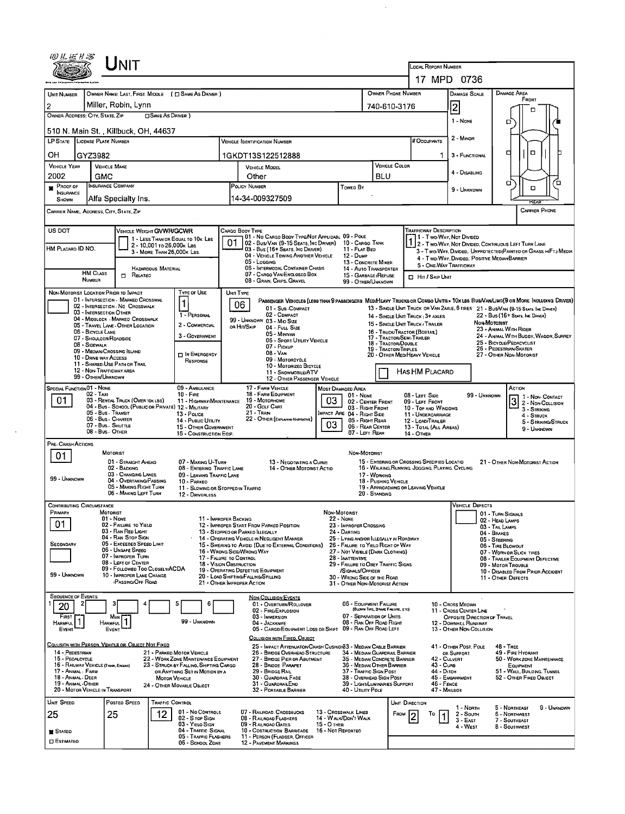|                                                                              | Unit                                                                                    |                                                                      |                                                                                                  |                                                                            |                                                            |                                                                                             |                                                                                                               |                                                                                                                                                                                                                     |  |  |  |
|------------------------------------------------------------------------------|-----------------------------------------------------------------------------------------|----------------------------------------------------------------------|--------------------------------------------------------------------------------------------------|----------------------------------------------------------------------------|------------------------------------------------------------|---------------------------------------------------------------------------------------------|---------------------------------------------------------------------------------------------------------------|---------------------------------------------------------------------------------------------------------------------------------------------------------------------------------------------------------------------|--|--|--|
|                                                                              |                                                                                         |                                                                      | LOCAL REPORT NUMBER<br>17 MPD 0736                                                               |                                                                            |                                                            |                                                                                             |                                                                                                               |                                                                                                                                                                                                                     |  |  |  |
|                                                                              |                                                                                         |                                                                      |                                                                                                  |                                                                            |                                                            |                                                                                             |                                                                                                               |                                                                                                                                                                                                                     |  |  |  |
| <b>UNIT NUMBER</b><br>Miller, Robin, Lynn                                    | OWNER NAME: LAST, FIRST. MIDDLE ( C SAME AS DRIVER )                                    |                                                                      |                                                                                                  |                                                                            | OWNER PHONE NUMBER                                         |                                                                                             | <b>DAMAGE SCALE</b>                                                                                           | <b>DAMAGE AREA</b><br>FRONT                                                                                                                                                                                         |  |  |  |
| 2<br>OWNER ADDRESS: CITY, STATE, ZIP                                         | □ SAME AS DRIVER)                                                                       |                                                                      |                                                                                                  |                                                                            | 740-610-3176                                               |                                                                                             | $\vert$ 2                                                                                                     | п                                                                                                                                                                                                                   |  |  |  |
| 510 N. Main St. , Killbuck, OH, 44637                                        |                                                                                         |                                                                      |                                                                                                  |                                                                            |                                                            |                                                                                             | 1 - NONE                                                                                                      | ם                                                                                                                                                                                                                   |  |  |  |
| LP STATE LICENSE PLATE NUMBER                                                |                                                                                         |                                                                      | <b>VEHICLE IDENTIFICATION NUMBER</b>                                                             |                                                                            |                                                            | # Occupants                                                                                 | 2 - MINOR                                                                                                     |                                                                                                                                                                                                                     |  |  |  |
| OН<br>GYZ3982                                                                |                                                                                         |                                                                      | 1GKDT13S122512888                                                                                |                                                                            |                                                            |                                                                                             | 3 - FUNCTIONAL                                                                                                | $\Box$<br>□                                                                                                                                                                                                         |  |  |  |
| <b>VEHICLE YEAR</b><br><b>VEHICLE MAKE</b>                                   |                                                                                         |                                                                      | <b>VEHICLE MODEL</b>                                                                             |                                                                            | VEHICLE COLOR                                              |                                                                                             | 4 - DISABLING                                                                                                 |                                                                                                                                                                                                                     |  |  |  |
| 2002<br>GMC<br><b>INSURANCE COMPANY</b><br>PROOF OF                          |                                                                                         |                                                                      | Other<br>POLICY NUMBER                                                                           | Towed By                                                                   | <b>BLU</b>                                                 |                                                                                             |                                                                                                               | ם<br>α                                                                                                                                                                                                              |  |  |  |
| <b>NSURANCE</b><br>SHOWN                                                     | Alfa Specialty Ins.                                                                     |                                                                      | 14-34-009327509                                                                                  |                                                                            |                                                            |                                                                                             | 9 - Unknown                                                                                                   | ο                                                                                                                                                                                                                   |  |  |  |
| CARRIER PHONE<br>CARRIER NAME, ADORESS, CITY, STATE, ZIP                     |                                                                                         |                                                                      |                                                                                                  |                                                                            |                                                            |                                                                                             |                                                                                                               |                                                                                                                                                                                                                     |  |  |  |
| US DOT                                                                       |                                                                                         |                                                                      | CARGO BOOY TYPE                                                                                  |                                                                            |                                                            | TRAFFICWAY DESCRIPTION                                                                      |                                                                                                               |                                                                                                                                                                                                                     |  |  |  |
|                                                                              | VEHICLE WEIGHT GVWR/GCWR<br>1 - LESS THAN OR EQUAL TO 10K LBS                           | 01                                                                   | 01 - No CARGO BODY TYPE/NOT APPLICABL 09 - POLE<br>02 - Bus/VAN (9-15 SEATS, INC DRIVER)         |                                                                            | 10 - CARGO TANK                                            | 1 - Two-Way, Not Divideo                                                                    |                                                                                                               | 2 - Two-Way, Not Divided, Continuous Left Turn Lane                                                                                                                                                                 |  |  |  |
| HM PLACARD ID NO.                                                            | 2 - 10,001 to 26,000x Las<br>3 - MORE THAN 26,000K LBS.                                 |                                                                      | 03 - Bus (16+ Seats, Inc Driver)<br>04 - VEHICLE TOWING ANOTHER VEHICLE                          | 11 - FLAT BEO<br>12 - Dump                                                 |                                                            |                                                                                             |                                                                                                               | 3 - Two-WAY, DIVIDED, UNPROTECTED (PAINTED OR GRASS >4FT.) MEDIA                                                                                                                                                    |  |  |  |
|                                                                              | HAZARDOUS MATERIAL                                                                      |                                                                      | 05 - Logging<br>06 - INTERMODAL CONTAINER CHASIS                                                 |                                                                            | 13 - CONCRETE MIKER<br>14 - AUTO TRANSPORTER               |                                                                                             | 4 - Two-Way, Divided, Positive Median Barrier<br>5 - ONE-WAY TRAFFICWAY                                       |                                                                                                                                                                                                                     |  |  |  |
| <b>HM CLASS</b><br><b>NUMBER</b>                                             | $\Box$<br>RELATED                                                                       |                                                                      | 07 - CARGO VAN/ENCLOSED BOX<br>08 - GRAIN, CHIPS, GRAVEL                                         |                                                                            | 15 - GARBAGE /REFUSE<br>99 - OTHER/UNKNOWN                 |                                                                                             | HIT / SKIP UNIT                                                                                               |                                                                                                                                                                                                                     |  |  |  |
| NON-MOTORIST LOCATION PRIOR TO IMPACT<br>01 - INTERSECTION - MARKED CROSSWAL | Type of Use                                                                             |                                                                      | UNIT TYPE                                                                                        |                                                                            |                                                            |                                                                                             |                                                                                                               |                                                                                                                                                                                                                     |  |  |  |
| 02 - INTERSECTION - NO CROSSWALK<br>03 - INTERSECTION OTHER                  |                                                                                         |                                                                      | 06<br>01 - Sub-COMPACT<br>02 - CDMPACT                                                           |                                                                            |                                                            |                                                                                             |                                                                                                               | PASSENGER VEHICLES (LESS THAN 9 PASSENGERS MEDIMEAVY TRUCKS OR COMBO UNITS > 10K LBS BUS/VAN/LIMO(9 OR MORE INCLUDING DRIVER)<br>13 - SINGLE UNIT TRUCK OR VAN 2AXLE, 6 TIRES 21 - BUS/VAN (9-15 SEATS, INC DRIVER) |  |  |  |
| 04 - MIDBLOCK - MARKEO CROSSWALK<br>05 - TRAVEL LANE - OTHER LOCATION        | 1 - PERSONAL<br>2 - COMMERCIAL                                                          | 14 - SINGLE UNIT TRUCK: 3+ AXLES<br>15 - SINGLE UNIT TRUCK / TRAILER |                                                                                                  | 22 - Bus (16+ Seats, Inc Driver)<br>NON-MOTORIST                           |                                                            |                                                                                             |                                                                                                               |                                                                                                                                                                                                                     |  |  |  |
| 06 - BICYCLE LANE<br>07 - SHOULDER/ROADSIDE                                  |                                                                                         | 3 - GOVERNMENT                                                       | or Hit/Skip<br>04 - Futt Size<br>05 - Minivan<br>06 - Sport UTILITY VEHICLE                      |                                                                            | 16 - TRUCK/TRACTOR (BOBTAIL)<br>17 - TRACTOR/SEMI-TRAILER  | 23 - ANIMAL WITH RIDER<br>24 - ANIMAL WITH BUGGY, WAGON, SURREY                             |                                                                                                               |                                                                                                                                                                                                                     |  |  |  |
| 08 - Sidewalk<br>09 - MEOIAN/CROSSING ISLAND                                 |                                                                                         |                                                                      | 18 - TRACTOR/DOUBLE<br>07 - Pickup<br>19 - TRACTOR/TRIPLES<br>08 - VAN                           |                                                                            |                                                            |                                                                                             | 25 - BICYCLE/PEDACYCLIST<br>26 - PEOESTRIAN/SKATER<br>20 - OTHER MEDIHEAVY VEHICLE<br>27 - OTHER NON-MOTORIST |                                                                                                                                                                                                                     |  |  |  |
| 10 - DRIVE WAY ACCESS<br>11 - Shared Use Path or Trail                       |                                                                                         | IN EMERGENCY<br>RESPONSE                                             | 09 - MOTORCYCLE<br>10 - MOTORIZEO BICYCLE                                                        |                                                                            |                                                            |                                                                                             |                                                                                                               |                                                                                                                                                                                                                     |  |  |  |
| 12 - NON-TRAFFICWAY AREA<br>99 - OTHER/UNKNOWN                               |                                                                                         |                                                                      | 11 - SNOWMOBILE/ATV<br>12 - OTHER PASSENGER VEHICLE                                              |                                                                            |                                                            | HAS HM PLACARD                                                                              |                                                                                                               |                                                                                                                                                                                                                     |  |  |  |
| <b>SPECIAL FUNCTION 01 - NONE</b><br>02 - Taxi                               | $10 -$ Fire                                                                             | 09 - AMBULANCE                                                       | 17 - FARM VEHICLE<br>18 - FARM EQUIPMENT                                                         | MOST DAMAGED AREA<br>01 - NONE                                             |                                                            |                                                                                             | ACTION<br>O8 - LEFT SIDE<br>99 - UNKNOWN                                                                      |                                                                                                                                                                                                                     |  |  |  |
| 01                                                                           | 03 - RENTAL TRUCK (OVER 10K LBS)<br>04 - Bus - SCHODL (PUBLIC OR PRIVATE) 12 - MILITARY | 11 - HIGHWAY/MAINTENANCE                                             | 19 - Мотовноме<br>20 - GOLF CART                                                                 | 03                                                                         | 02 - CENTER FRONT<br>03 - RIGHT FRONT                      | 09 - LEFT FRONT<br>10 - TOP AND WINDOWS                                                     |                                                                                                               | 1 - Non-Contact<br>3 2 - Non-Contact                                                                                                                                                                                |  |  |  |
| 05 - Bus - Transit<br>06 - Bus - Charter                                     | 13 - Poutce                                                                             | 14 - PUBLIC UTILITY                                                  | 21 - Tran<br>22 - OTHER (EXPLAN IN NARRATIVE)                                                    | MPACT ARE 04 - RIGHT SIDE                                                  | 05 - Right Rear                                            | 11 - UNDERCARRIAGE<br>12 - LOAD/TRAILER                                                     |                                                                                                               | 3 - STRIKING<br>4 STRUCK<br>5 - STRIKING/STRUCK                                                                                                                                                                     |  |  |  |
| 07 - Bus - SHUTTLE<br>08 - Bus - OTHER                                       |                                                                                         | 15 - OTHER GOVERNMENT<br>16 - CONSTRUCTION EQIP.                     |                                                                                                  | 03                                                                         | 06 - REAR CENTER<br>07 - LEFT REAR                         | 13 - TOTAL (ALL AREAS)<br>14 - OTHER                                                        |                                                                                                               | 9 - UNKNOWN                                                                                                                                                                                                         |  |  |  |
| PRE- CRASH ACTIONS                                                           |                                                                                         |                                                                      |                                                                                                  |                                                                            |                                                            |                                                                                             |                                                                                                               |                                                                                                                                                                                                                     |  |  |  |
| MOTORIST<br>01                                                               | 01 - STRAIGHT AHEAD                                                                     | 07 - MAKING U-TURN                                                   | 13 - NEGOTIATING A CURVE                                                                         |                                                                            | NON-MOTORIST                                               | 15 - ENTERING OR CROSSING SPECIFIED LOCATIO                                                 |                                                                                                               | 21 - OTHER NON-MOTORIST ACTION                                                                                                                                                                                      |  |  |  |
|                                                                              | 02 - BACKING<br>03 - CHANGING LANES                                                     | 08 - ENTERING TRAFFIC LANE<br>09 - LEAVING TRAFFIC LANE              | 14 - OTHER MOTORIST ACTIO                                                                        |                                                                            | 17 - WDRKING                                               | 16 - WALKING, RUNNING, JOGGING, PLAYING, CYCLING                                            |                                                                                                               |                                                                                                                                                                                                                     |  |  |  |
| 99 - UNKNOWN                                                                 | 04 - OVERTAKING/PASSING<br>10 - PARKED<br>05 - MAKING RIGHT TURN                        | 11 - Slowing or Stopped in Traffic                                   |                                                                                                  |                                                                            | 18 - PUSHING VEHICLE                                       | 19 - APPROACHING OR LEAVING VEHICLE                                                         |                                                                                                               |                                                                                                                                                                                                                     |  |  |  |
| <b>CONTRIBUTING CIRCUMSTANCE</b>                                             | 06 - MAKING LEFT TURN                                                                   | 12 - DRIVERLESS                                                      |                                                                                                  |                                                                            | 20 - STANDING                                              |                                                                                             | <b>VEHICLE DEFECTS</b>                                                                                        |                                                                                                                                                                                                                     |  |  |  |
| Primary<br><b>MOTORIST</b><br>$01 - None$                                    |                                                                                         | 11 - IMPROPER BACKING                                                |                                                                                                  | NON-MOTORIST<br><b>22 - NONE</b>                                           |                                                            |                                                                                             |                                                                                                               | 01 - TURN SIGNALS                                                                                                                                                                                                   |  |  |  |
| 01                                                                           | 02 - FAILURE TO YIELD<br>03 - RAN RED LIGHT                                             |                                                                      | 12 - IMPROPER START FROM PARKED POSITION<br>13 - Stopped or Parked Illegally                     | 23 - IMPROPER CROSSING<br>24 - DARTING                                     |                                                            |                                                                                             |                                                                                                               | 02 - HEAD LAMPS<br>03 - TAIL LAMPS                                                                                                                                                                                  |  |  |  |
| SECONDARY                                                                    | 04 - RAN STOP SIGN<br>05 - Exceeped Speed Limit                                         |                                                                      | 14 - OPERATING VEHICLE IN NEGLIGENT MANNER<br>15 - SWERING TO AVOID (DUE TO EXTERNAL CONDITIONS) | 25 - LYING AND/OR LLEGALLY IN ROADWAY<br>26 - FALURE TO YIELO RIGHT OF WAY |                                                            |                                                                                             |                                                                                                               | 04 - BRAKES<br>05 - STEERING<br>06 - TIRE BLOWOUT                                                                                                                                                                   |  |  |  |
|                                                                              | 06 - Unsafe Speed<br>07 - IMPROPER TURN                                                 | 16 - WRONG SIDE/WRONG WAY<br>17 - FALURE TO CONTROL                  |                                                                                                  | 28 - INATTENTME                                                            | 27 - NOT VISELE (DARK CLOTHING)                            |                                                                                             |                                                                                                               | 07 - WORN OR SLICK TIRES                                                                                                                                                                                            |  |  |  |
|                                                                              | 08 - LEFT OF CENTER<br>09 - FOLLOWED TOO CLOSELY/ACDA                                   | 18 - Vision Oastruction                                              | 19 - OPERATING DEFECTIVE EQUIPMENT                                                               | /SIGNALS/OFFICER                                                           | 29 - FAILURE TO OBEY TRAFFIC SIGNS                         | 08 - TRAILER EQUIPMENT DEFECTIVE<br>09 - MOTOR TROUBLE<br>10 - DISABLED FROM PRIOR ACCIDENT |                                                                                                               |                                                                                                                                                                                                                     |  |  |  |
| 99 - UNKNOWN                                                                 | 10 - IMPROPER LANE CHANGE<br>/PASSING/OFF ROAD                                          | 21 - OTHER IMPROPER ACTION                                           | 20 - LOAD SHIFTING/FALLING/SPILLING                                                              | 31 - OTHER NON-MOTORIST ACTION                                             | 30 - WRONG SIDE OF THE ROAD                                |                                                                                             |                                                                                                               | 11 - OTHER DEFECTS                                                                                                                                                                                                  |  |  |  |
| <b>SEQUENCE OF EVENTS</b>                                                    |                                                                                         |                                                                      | <b>NON-COLLISION EVENTS</b>                                                                      |                                                                            |                                                            |                                                                                             |                                                                                                               |                                                                                                                                                                                                                     |  |  |  |
| 20                                                                           |                                                                                         |                                                                      | 01 - OVERTURN/ROLLOVER<br>02 - FIRE/EXPLOSION                                                    |                                                                            | 06 - EQUIPMENT FAILURE<br>(BLOWN TIRE, BRAKE FAILURE, ETC) |                                                                                             | 10 - Cross Meoran<br>11 - CROSS CENTER LINE                                                                   |                                                                                                                                                                                                                     |  |  |  |
| First<br>Most<br><b>HARMFUL</b><br><b>HARMFUL</b>                            |                                                                                         | 99 - UNKNOWN                                                         | 03 - IMMERSION<br>04 - JACKKNIFE                                                                 |                                                                            | 07 - SEPARATION OF UNITS<br>08 - RAN OFF ROAD RIGHT        |                                                                                             | OPPOSITE DIRECTION OF TRAVEL<br>12 - DOWNHEL RUNAWAY                                                          |                                                                                                                                                                                                                     |  |  |  |
| EVENT<br>EVENT                                                               |                                                                                         |                                                                      | 05 - CARGO/EQUIPMENT LOSS OR SHIFT 09 - RAN OFF ROAD LEFT<br>COLLISION WITH FIXED, OBJECT        |                                                                            |                                                            |                                                                                             | 13 - OTHER NON-COLLISION                                                                                      |                                                                                                                                                                                                                     |  |  |  |
| COLLISION WITH PERSON, VEHICLE OR OBJECT NOT FIXED<br>14 - PEDESTRIAN        | 21 - PARKED MOTOR VEHICLE                                                               |                                                                      | 25 - IMPACT ATTENUATOR/CRASH CUSHIONS3 - MEDIAN CABLE BARRIER<br>26 - BRIDGE OVERHEAD STRUCTURE  |                                                                            | 34 - Median Guardrail Barrier                              |                                                                                             | 41 - OTHER POST, POLE<br>OR SUPPORT                                                                           | 48 - TREE<br>49 - FIRE HYDRANT                                                                                                                                                                                      |  |  |  |
| 15 - PEOALCYCLE<br>16 - RAILWAY VEHICLE (TRAIN, ENGINE)                      | 22 - WORK ZONE MAINTENANCE EDUIPMENT<br>23 - STRUCK BY FALLING, SHIFTING CARGO          |                                                                      | 27 - BRIDGE PIER OR ABUTMENT<br>28 - BRIODE PARAPET                                              |                                                                            | 35 - Median Concrete Barrier<br>36 - MEDIAN OTHER BARRIER  | 43 - Cuna                                                                                   | 42 - CULVERT                                                                                                  | 50 - WORK ZONE MAINTENANCE<br>EQUIPMENT                                                                                                                                                                             |  |  |  |
| 17 - Animal - Farm<br>18 - ANIMAL - DEER                                     | OR ANYTHING SET IN MOTION BY A<br><b>MOTOR VEHICLE</b>                                  |                                                                      | 29 - BRIDGE RAIL<br>30 - GUARDRAIL FACE                                                          |                                                                            | 37 - Traffic Sign Post<br>38 - Overhead Sign Post          | 44 - Diтсн                                                                                  | 45 - EMBANKMENT                                                                                               | 51 - WALL, BUILDING, TUNNEL<br>52 - OTHER FIXED OBJECT                                                                                                                                                              |  |  |  |
| 19 - ANMAL - OTHER<br>20 - MOTOR VEHICLE IN TRANSPORT                        | 24 - OTHER MOVABLE OBJECT                                                               |                                                                      | 31 - GUARORAILENO<br>32 - PORTABLE BARRIER                                                       |                                                                            | 39 - Light/Luminaries Support<br>40 - Utiuty Pole          | 46 - FENCE<br>47 - MAILBOX                                                                  |                                                                                                               |                                                                                                                                                                                                                     |  |  |  |
| UNIT SPEED                                                                   | POSTED SPEED<br><b>TRAFFIC CONTROL</b>                                                  |                                                                      |                                                                                                  |                                                                            |                                                            | UNIT DIRECTION                                                                              | 1 - North                                                                                                     | 9 - UNKNOWN<br>5 - Northeast                                                                                                                                                                                        |  |  |  |
| 25<br>25                                                                     | 12                                                                                      | 01 - No CONTROLS<br>02 - S TOP SIGN                                  | 07 - RAILROAD CROSSBUCKS<br>08 - RAILROAD FLASHERS                                               | 13 - Crosswalk Lines<br>14 - WALK/DON'T WALK                               |                                                            | FROM<br>То                                                                                  | 2 - South<br>$3 - East$                                                                                       | 6 - Northwest<br>7 SOUTHEAST                                                                                                                                                                                        |  |  |  |
| $\blacksquare$ Stated                                                        |                                                                                         | 03 - YIELO SIGN<br>04 - Traffic Signal                               | 09 - RAILROAD GATES<br>10 - COSTRUCTION BARRICADE                                                | $15 - O$ THER<br>16 - Not Reported                                         |                                                            |                                                                                             | 4 - West                                                                                                      | 8 - Southwest                                                                                                                                                                                                       |  |  |  |
| <b>C ESTIMATED</b>                                                           |                                                                                         | 05 - TRAFFIC FLASHERS<br>06 - SCHOOL ZONE                            | 11 - PERSON (FLAGGER, OFFICER<br>12 - PAVEMENT MARKINGS                                          |                                                                            |                                                            |                                                                                             |                                                                                                               |                                                                                                                                                                                                                     |  |  |  |

 $\sim 10^{-10}$ 

 $\mathcal{A}^{\mathcal{A}}$